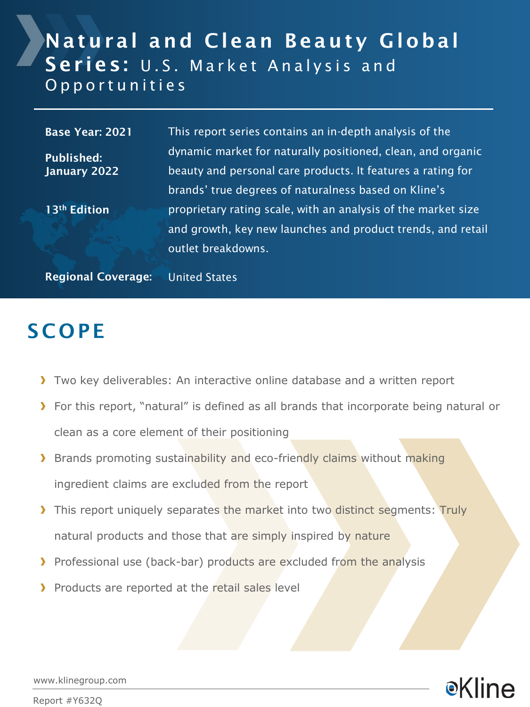### Natural and Clean Beauty Global Series: U.S. Market Analysis and O p p o r t u n i t i e s

Base Year: 2021 Published: January 2022 13th Edition This report series contains an in-depth analysis of the dynamic market for naturally positioned, clean, and organic beauty and personal care products. It features a rating for brands' true degrees of naturalness based on Kline's proprietary rating scale, with an analysis of the market size and growth, key new launches and product trends, and retail outlet breakdowns.

Regional Coverage: United States

### **SCOPE**

- Two key deliverables: An interactive online database and a written report
- For this report, "natural" is defined as all brands that incorporate being natural or clean as a core element of their positioning
- **Brands promoting sustainability and eco-friendly claims without making** ingredient claims are excluded from the report
- If This report uniquely separates the market into two distinct segments: Truly natural products and those that are simply inspired by nature
- Professional use (back-bar) products are excluded from the analysis
- Products are reported at the retail sales level

●Kline

www.klinegroup.com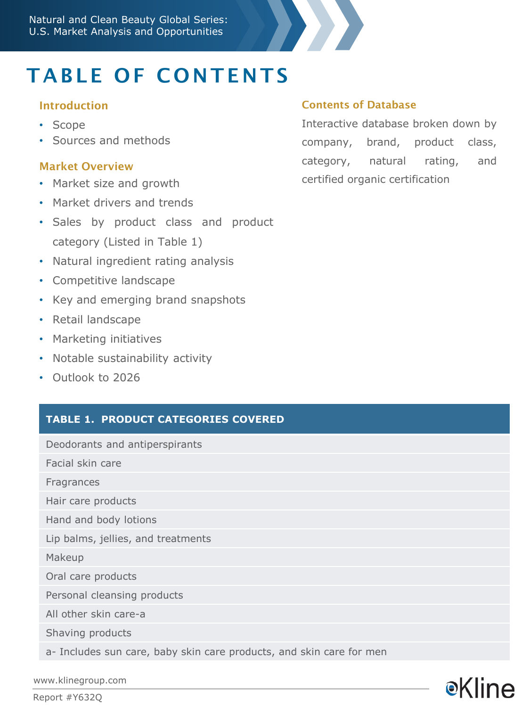

# TABLE OF CONTENTS

#### Introduction

- Scope
- Sources and methods

#### Market Overview

- Market size and growth
- Market drivers and trends
- Sales by product class and product category (Listed in Table 1)
- Natural ingredient rating analysis
- Competitive landscape
- Key and emerging brand snapshots
- Retail landscape
- Marketing initiatives
- Notable sustainability activity
- Outlook to 2026

#### **TABLE 1. PRODUCT CATEGORIES COVERED**

Deodorants and antiperspirants

Facial skin care

Fragrances

Hair care products

Hand and body lotions

Lip balms, jellies, and treatments

Makeup

Oral care products

Personal cleansing products

All other skin care-a

Shaving products

a- Includes sun care, baby skin care products, and skin care for men

www.klinegroup.com

Report #Y632Q

#### Contents of Database

Interactive database broken down by company, brand, product class, category, natural rating, and certified organic certification